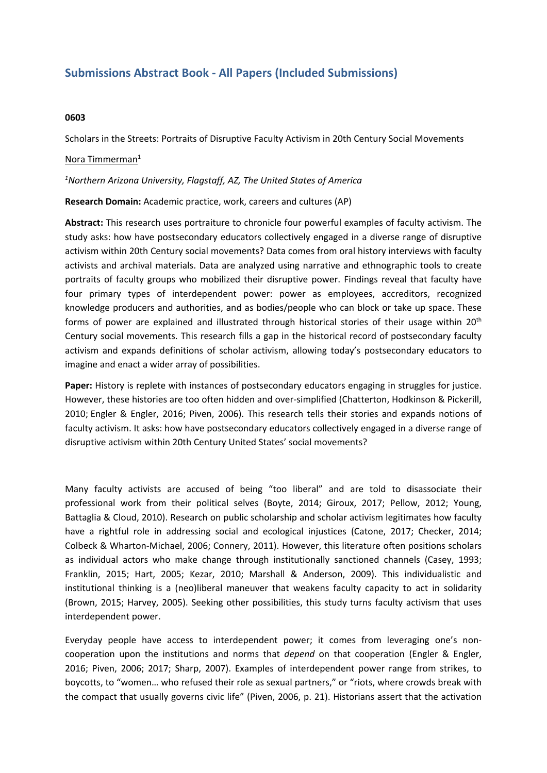# **Submissions Abstract Book - All Papers (Included Submissions)**

## **0603**

Scholars in the Streets: Portraits of Disruptive Faculty Activism in 20th Century Social Movements

## Nora Timmerman<sup>1</sup>

### *1 Northern Arizona University, Flagstaff, AZ, The United States of America*

### **Research Domain:** Academic practice, work, careers and cultures (AP)

**Abstract:** This research uses portraiture to chronicle four powerful examples of faculty activism. The study asks: how have postsecondary educators collectively engaged in <sup>a</sup> diverse range of disruptive activism within 20th Century social movements? Data comes from oral history interviews with faculty activists and archival materials. Data are analyzed using narrative and ethnographic tools to create portraits of faculty groups who mobilized their disruptive power. Findings reveal that faculty have four primary types of interdependent power: power as employees, accreditors, recognized knowledge producers and authorities, and as bodies/people who can block or take up space. These forms of power are explained and illustrated through historical stories of their usage within <sup>20</sup>th Century social movements. This research fills <sup>a</sup> gap in the historical record of postsecondary faculty activism and expands definitions of scholar activism, allowing today's postsecondary educators to imagine and enact <sup>a</sup> wider array of possibilities.

**Paper:** History is replete with instances of postsecondary educators engaging in struggles for justice. However, these histories are too often hidden and over-simplified (Chatterton, Hodkinson & Pickerill, 2010; Engler & Engler, 2016; Piven, 2006). This research tells their stories and expands notions of faculty activism. It asks: how have postsecondary educators collectively engaged in <sup>a</sup> diverse range of disruptive activism within 20th Century United States' social movements?

Many faculty activists are accused of being "too liberal" and are told to disassociate their professional work from their political selves (Boyte, 2014; Giroux, 2017; Pellow, 2012; Young, Battaglia & Cloud, 2010). Research on public scholarship and scholar activism legitimates how faculty have a rightful role in addressing social and ecological injustices (Catone, 2017; Checker, 2014; Colbeck & Wharton-Michael, 2006; Connery, 2011). However, this literature often positions scholars as individual actors who make change through institutionally sanctioned channels (Casey, 1993; Franklin, 2015; Hart, 2005; Kezar, 2010; Marshall & Anderson, 2009). This individualistic and institutional thinking is <sup>a</sup> (neo)liberal maneuver that weakens faculty capacity to act in solidarity (Brown, 2015; Harvey, 2005). Seeking other possibilities, this study turns faculty activism that uses interdependent power.

Everyday people have access to interdependent power; it comes from leveraging one's noncooperation upon the institutions and norms that *depend* on that cooperation (Engler & Engler, 2016; Piven, 2006; 2017; Sharp, 2007). Examples of interdependent power range from strikes, to boycotts, to "women… who refused their role as sexual partners," or "riots, where crowds break with the compact that usually governs civic life" (Piven, 2006, p. 21). Historians assert that the activation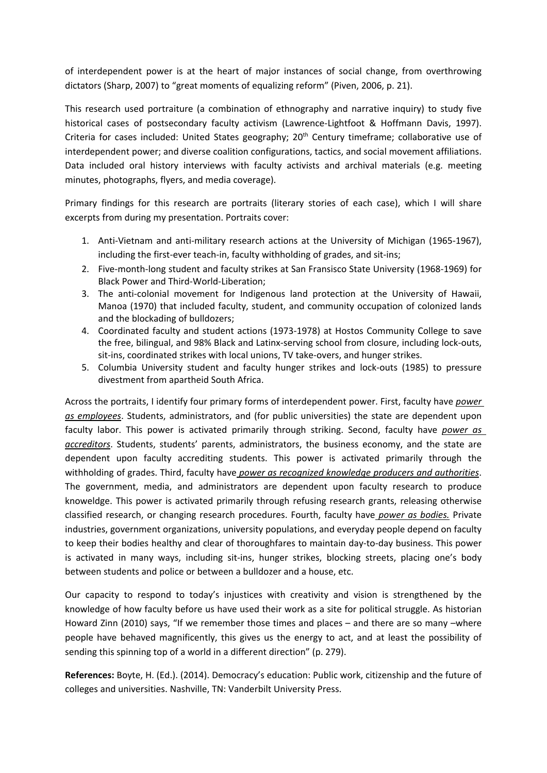of interdependent power is at the heart of major instances of social change, from overthrowing dictators (Sharp, 2007) to "great moments of equalizing reform" (Piven, 2006, p. 21).

This research used portraiture (a combination of ethnography and narrative inquiry) to study five historical cases of postsecondary faculty activism (Lawrence-Lightfoot & Hoffmann Davis, 1997). Criteria for cases included: United States geography; 20<sup>th</sup> Century timeframe; collaborative use of interdependent power; and diverse coalition configurations, tactics, and social movement affiliations. Data included oral history interviews with faculty activists and archival materials (e.g. meeting minutes, photographs, flyers, and media coverage).

Primary findings for this research are portraits (literary stories of each case), which I will share excerpts from during my presentation. Portraits cover:

- 1. Anti-Vietnam and anti-military research actions at the University of Michigan (1965-1967), including the first-ever teach-in, faculty withholding of grades, and sit-ins;
- 2. Five-month-long student and faculty strikes at San Fransisco State University (1968-1969) for Black Power and Third-World-Liberation;
- 3. The anti-colonial movement for Indigenous land protection at the University of Hawaii, Manoa (1970) that included faculty, student, and community occupation of colonized lands and the blockading of bulldozers;
- 4. Coordinated faculty and student actions (1973-1978) at Hostos Community College to save the free, bilingual, and 98% Black and Latinx-serving school from closure, including lock-outs, sit-ins, coordinated strikes with local unions, TV take-overs, and hunger strikes.
- 5. Columbia University student and faculty hunger strikes and lock-outs (1985) to pressure divestment from apartheid South Africa.

Across the portraits, I identify four primary forms of interdependent power. First, faculty have *power as employees*. Students, administrators, and (for public universities) the state are dependent upon faculty labor. This power is activated primarily through striking. Second, faculty have *power as accreditors*. Students, students' parents, administrators, the business economy, and the state are dependent upon faculty accrediting students. This power is activated primarily through the withholding of grades. Third, faculty have *power as recognized knowledge producers and authorities*. The government, media, and administrators are dependent upon faculty research to produce knoweldge. This power is activated primarily through refusing research grants, releasing otherwise classified research, or changing research procedures. Fourth, faculty have *power as bodies.* Private industries, government organizations, university populations, and everyday people depend on faculty to keep their bodies healthy and clear of thoroughfares to maintain day-to-day business. This power is activated in many ways, including sit-ins, hunger strikes, blocking streets, placing one's body between students and police or between <sup>a</sup> bulldozer and <sup>a</sup> house, etc.

Our capacity to respond to today's injustices with creativity and vision is strengthened by the knowledge of how faculty before us have used their work as <sup>a</sup> site for political struggle. As historian Howard Zinn (2010) says, "If we remember those times and places – and there are so many –where people have behaved magnificently, this gives us the energy to act, and at least the possibility of sending this spinning top of <sup>a</sup> world in <sup>a</sup> different direction" (p. 279).

**References:** Boyte, H. (Ed.). (2014). Democracy's education: Public work, citizenship and the future of colleges and universities. Nashville, TN: Vanderbilt University Press.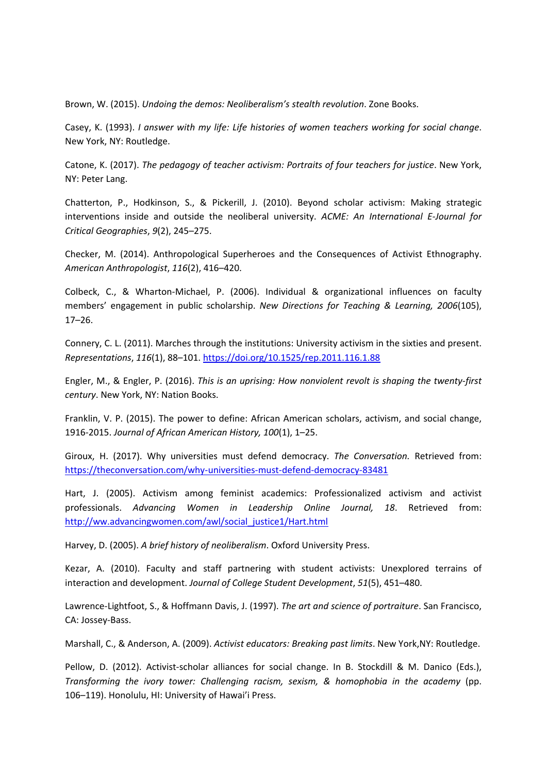Brown, W. (2015). *Undoing the demos: Neoliberalism's stealth revolution*. Zone Books.

Casey, K. (1993). *I answer with my life: Life histories of women teachers working for social change*. New York, NY: Routledge.

Catone, K. (2017). *The pedagogy of teacher activism: Portraits of four teachers for justice*. New York, NY: Peter Lang.

Chatterton, P., Hodkinson, S., & Pickerill, J. (2010). Beyond scholar activism: Making strategic interventions inside and outside the neoliberal university. *ACME: An International E-Journal for Critical Geographies*, *9*(2), 245–275.

Checker, M. (2014). Anthropological Superheroes and the Consequences of Activist Ethnography. *American Anthropologist*, *116*(2), 416–420.

Colbeck, C., & Wharton-Michael, P. (2006). Individual & organizational influences on faculty members' engagement in public scholarship. *New Directions for Teaching & Learning, 2006*(105), 17–26.

Connery, C. L. (2011). Marches through the institutions: University activism in the sixties and present. *Representations*, *116*(1), 88–101. <https://doi.org/10.1525/rep.2011.116.1.88>

Engler, M., & Engler, P. (2016). *This is an uprising: How nonviolent revolt is shaping the twenty-first century*. New York, NY: Nation Books.

Franklin, V. P. (2015). The power to define: African American scholars, activism, and social change, 1916-2015. *Journal of African American History, 100*(1), 1–25.

Giroux, H. (2017). Why universities must defend democracy. *The Conversation.* Retrieved from: <https://theconversation.com/why-universities-must-defend-democracy-83481>

Hart, J. (2005). Activism among feminist academics: Professionalized activism and activist professionals. *Advancing Women in Leadership Online Journal, 18*. Retrieved from: [http://ww.advancingwomen.com/awl/social\\_justice1/Hart.html](http://ww.advancingwomen.com/awl/social_justice1/Hart.html)

Harvey, D. (2005). *A brief history of neoliberalism*. Oxford University Press.

Kezar, A. (2010). Faculty and staff partnering with student activists: Unexplored terrains of interaction and development. *Journal of College Student Development*, *51*(5), 451–480.

Lawrence-Lightfoot, S., & Hoffmann Davis, J. (1997). *The art and science of portraiture*. San Francisco, CA: Jossey-Bass.

Marshall, C., &Anderson, A. (2009). *Activist educators: Breaking past limits*. New York,NY: Routledge.

Pellow, D. (2012). Activist-scholar alliances for social change. In B. Stockdill & M. Danico (Eds.), *Transforming the ivory tower: Challenging racism, sexism, & homophobia in the academy* (pp. 106–119). Honolulu, HI: University of Hawai'i Press.